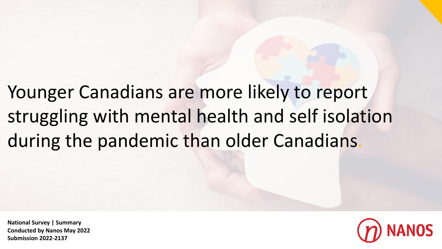Younger Canadians are more likely to report struggling with mental health and self isolation during the pandemic than older Canadians.

**National Survey | Summary Conducted by Nanos May 2022 Submission 2022-2137**

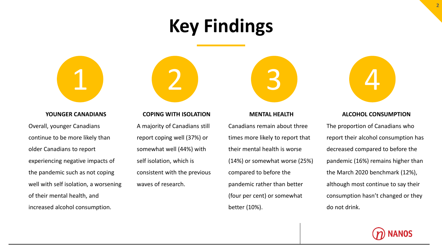# **Key Findings**



### **YOUNGER CANADIANS**

Overall, younger Canadians continue to be more likely than older Canadians to report experiencing negative impacts of the pandemic such as not coping well with self isolation, a worsening of their mental health, and increased alcohol consumption.

## **COPING WITH ISOLATION**

A majority of Canadians still report coping well (37%) or somewhat well (44%) with self isolation, which is consistent with the previous waves of research.

# 1 2 3 4

# **MENTAL HEALTH**

Canadians remain about three times more likely to report that their mental health is worse (14%) or somewhat worse (25%) compared to before the pandemic rather than better (four per cent) or somewhat better (10%).



## **ALCOHOL CONSUMPTION**

The proportion of Canadians who report their alcohol consumption has decreased compared to before the pandemic (16%) remains higher than the March 2020 benchmark (12%), although most continue to say their consumption hasn't changed or they do not drink.

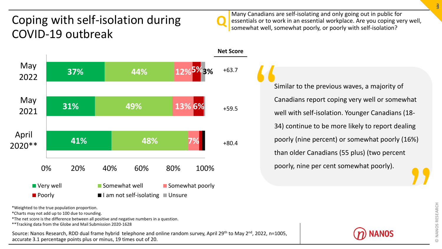# Coping with self-isolation during COVID-19 outbreak



Many Canadians are self-isolating and only going out in public for essentials or to work in an essential workplace. Are you coping very well, somewhat well, somewhat poorly, or poorly with self-isolation?



\*Weighted to the true population proportion.

\*Charts may not add up to 100 due to rounding.

\*The net score is the difference between all positive and negative numbers in a question.

\*\*Tracking data from the Globe and Mail Submission 2020-1628

Source: Nanos Research, RDD dual frame hybrid telephone and online random survey, April 29<sup>th</sup> to May 2<sup>nd</sup>, 2022, n=1005, accurate 3.1 percentage points plus or minus, 19 times out of 20.

Similar to the previous waves, a majority of Canadians report coping very well or somewhat well with self-isolation. Younger Canadians (18- 34) continue to be more likely to report dealing poorly (nine percent) or somewhat poorly (16%) than older Canadians (55 plus) (two percent poorly, nine per cent somewhat poorly). " "

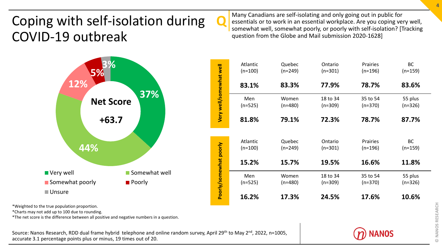# Coping with self-isolation during COVID-19 outbreak

 $\mathbf{Q}$ Many Canadians are self-isolating and only going out in public for essentials or to work in an essential workplace. Are you coping very well, somewhat well, somewhat poorly, or poorly with self-isolation? [Tracking question from the Globe and Mail submission 2020-1628]

|                         | Atlantic<br>$(n=100)$ | Quebec<br>$(n=249)$ | Ontario<br>$(n=301)$  | Prairies<br>$(n=196)$ | <b>BC</b><br>$(n=159)$ |
|-------------------------|-----------------------|---------------------|-----------------------|-----------------------|------------------------|
|                         | 83.1%                 | 83.3%               | 77.9%                 | 78.7%                 | 83.6%                  |
| Very well/somewhat well | Men<br>$(n=525)$      | Women<br>$(n=480)$  | 18 to 34<br>$(n=309)$ | 35 to 54<br>$(n=370)$ | 55 plus<br>$(n=326)$   |
|                         | 81.8%                 | 79.1%               | 72.3%                 | 78.7%                 | 87.7%                  |
|                         | Atlantic<br>$(n=100)$ | Quebec<br>$(n=249)$ | Ontario<br>$(n=301)$  | Prairies<br>$(n=196)$ | <b>BC</b><br>$(n=159)$ |
|                         | 15.2%                 | 15.7%               | 19.5%                 | 16.6%                 | 11.8%                  |
| Poorly/somewhat poorly  | Men<br>$(n=525)$      | Women<br>$(n=480)$  | 18 to 34<br>$(n=309)$ | 35 to 54<br>$(n=370)$ | 55 plus<br>$(n=326)$   |
|                         | 16.2%                 | 17.3%               | 24.5%                 | 17.6%                 | 10.6%                  |

\*Weighted to the true population proportion.

\*Charts may not add up to 100 due to rounding.

\*The net score is the difference between all positive and negative numbers in a question.

Source: Nanos Research, RDD dual frame hybrid telephone and online random survey, April 29<sup>th</sup> to May 2<sup>nd</sup>, 2022, n=1005, accurate 3.1 percentage points plus or minus, 19 times out of 20.

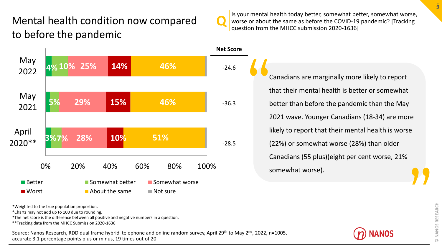# Mental health condition now compared to before the pandemic



Is your mental health today better, somewhat better, somewhat worse, worse or about the same as before the COVID-19 pandemic? [Tracking question from the MHCC submission 2020-1636]



\*Weighted to the true population proportion.

\*Charts may not add up to 100 due to rounding.

\*The net score is the difference between all positive and negative numbers in a question.

\*\*Tracking data from the MHCC Submission 2020-1636

Source: Nanos Research, RDD dual frame hybrid telephone and online random survey, April 29<sup>th</sup> to May 2<sup>nd</sup>, 2022, n=1005, accurate 3.1 percentage points plus or minus, 19 times out of 20

Canadians are marginally more likely to report that their mental health is better or somewhat better than before the pandemic than the May 2021 wave. Younger Canadians (18-34) are more likely to report that their mental health is worse (22%) or somewhat worse (28%) than older Canadians (55 plus)(eight per cent worse, 21% somewhat worse).  $\frac{1}{t}$ **"** 

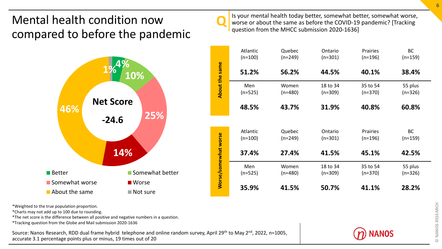# Mental health condition now compared to before the pandemic



Is your mental health today better, somewhat better, somewhat worse, worse or about the same as before the COVID-19 pandemic? [Tracking question from the MHCC submission 2020-1636]

 $\mathbf{Q}$ 

|                             | Atlantic<br>$(n=100)$ | Quebec<br>$(n=249)$ | Ontario<br>$(n=301)$  | Prairies<br>$(n=196)$ | <b>BC</b><br>$(n=159)$ |
|-----------------------------|-----------------------|---------------------|-----------------------|-----------------------|------------------------|
|                             | 51.2%                 | 56.2%               | 44.5%                 | 40.1%                 | 38.4%                  |
| About the same              | Men<br>$(n=525)$      | Women<br>$(n=480)$  | 18 to 34<br>$(n=309)$ | 35 to 54<br>$(n=370)$ | 55 plus<br>$(n=326)$   |
|                             | 48.5%                 | 43.7%               | 31.9%                 | 40.8%                 | 60.8%                  |
|                             |                       |                     |                       |                       |                        |
|                             | Atlantic              | Quebec              | Ontario               | Prairies              | <b>BC</b>              |
|                             | $(n=100)$             | $(n=249)$           | $(n=301)$             | $(n=196)$             | $(n=159)$              |
| <b>Worse/somewhat worse</b> | 37.4%                 | 27.4%               | 41.5%                 | 45.1%                 | 42.5%                  |
|                             | Men                   | Women               | 18 to 34              | 35 to 54              | 55 plus                |
|                             | $(n=525)$             | $(n=480)$           | $(n=309)$             | $(n=370)$             | $(n=326)$              |
|                             | 35.9%                 | 41.5%               | 50.7%                 | 41.1%                 | 28.2%                  |

\*Weighted to the true population proportion.

\*Charts may not add up to 100 due to rounding.

\*The net score is the difference between all positive and negative numbers in a question.

\*Tracking question from the Globe and Mail submission 2020-1636

Source: Nanos Research, RDD dual frame hybrid telephone and online random survey, April 29<sup>th</sup> to May 2<sup>nd</sup>, 2022, n=1005, accurate 3.1 percentage points plus or minus, 19 times out of 20

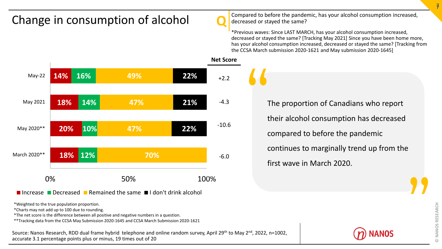# Change in consumption of alcohol



Compared to before the pandemic, has your alcohol consumption increased, decreased or stayed the same?

\*Previous waves: Since LAST MARCH, has your alcohol consumption increased, decreased or stayed the same? [Tracking May 2021] Since you have been home more, has your alcohol consumption increased, decreased or stayed the same? [Tracking from the CCSA March submission 2020-1621 and May submission 2020-1645]



**Increase Decreased Remained the same II don't drink alcohol** 

\*Weighted to the true population proportion.

\*Charts may not add up to 100 due to rounding.

\*The net score is the difference between all positive and negative numbers in a question.

\*\*Tracking data from the CCSA May Submission 2020-1645 and CCSA March Submission 2020-1621

Source: Nanos Research, RDD dual frame hybrid telephone and online random survey, April 29<sup>th</sup> to May 2<sup>nd</sup>, 2022, n=1002, accurate 3.1 percentage points plus or minus, 19 times out of 20

The proportion of Canadians who report their alcohol consumption has decreased compared to before the pandemic continues to marginally trend up from the first wave in March 2020. "



**"**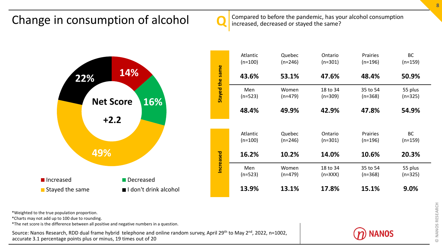# Change in consumption of alcohol Compared to before the pandemic, has your alcohol consumption Change in consumption





\*Weighted to the true population proportion.

\*Charts may not add up to 100 due to rounding.

\*The net score is the difference between all positive and negative numbers in a question.

Source: Nanos Research, RDD dual frame hybrid telephone and online random survey, April 29<sup>th</sup> to May 2<sup>nd</sup>, 2022, n=1002, accurate 3.1 percentage points plus or minus, 19 times out of 20



Prairies (n=196)

35 to 54 (n=368)

Prairies (n=196)

35 to 54 (n=368)

BC (n=159)

55 plus (n=325)

BC (n=159)

55 plus (n=325)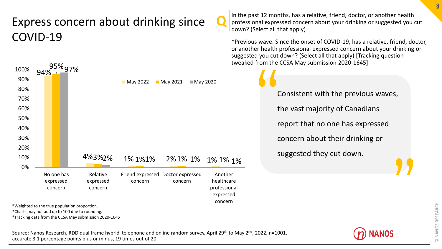# Express concern about drinking since COVID-19



\*Weighted to the true population proportion.

\*Charts may not add up to 100 due to rounding.

Source: Nanos Research, RDD dual frame hybrid telephone and online random survey, April 29<sup>th</sup> to May 2<sup>nd</sup>, 2022, n=1001, accurate 3.1 percentage points plus or minus, 19 times out of 20

 $\mathbf{Q}$ In the past 12 months, has a relative, friend, doctor, or another health professional expressed concern about your drinking or suggested you cut down? (Select all that apply)

\*Previous wave: Since the onset of COVID-19, has a relative, friend, doctor, or another health professional expressed concern about your drinking or suggested you cut down? (Select all that apply) [Tracking question tweaked from the CCSA May submission 2020-1645]

Consistent with the previous waves, the vast majority of Canadians report that no one has expressed concern about their drinking or suggested they cut down. "

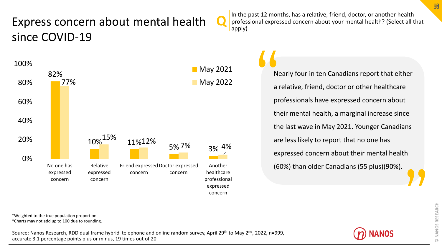# Express concern about mental health since COVID-19



 $\mathbf{Q}$ In the past 12 months, has a relative, friend, doctor, or another health professional expressed concern about your mental health? (Select all that apply)

> Nearly four in ten Canadians report that either a relative, friend, doctor or other healthcare professionals have expressed concern about their mental health, a marginal increase since the last wave in May 2021. Younger Canadians are less likely to report that no one has expressed concern about their mental health (60%) than older Canadians (55 plus)(90%). New New York **"**

\*Weighted to the true population proportion.

\*Charts may not add up to 100 due to rounding.

Source: Nanos Research, RDD dual frame hybrid telephone and online random survey, April 29<sup>th</sup> to May 2<sup>nd</sup>, 2022, n=999, accurate 3.1 percentage points plus or minus, 19 times out of 20

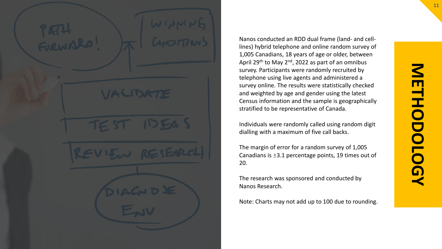Nanos conducted an RDD dual frame (land- and celllines) hybrid telephone and online random survey of 1,005 Canadians, 18 years of age or older, between April 29<sup>th</sup> to May 2<sup>nd</sup>, 2022 as part of an omnibus survey. Participants were randomly recruited by telephone using live agents and administered a survey online. The results were statistically checked and weighted by age and gender using the latest Census information and the sample is geographically stratified to be representative of Canada.

Individuals were randomly called using random digit dialling with a maximum of five call backs.

The margin of error for a random survey of 1,005 Canadians is ±3.1 percentage points, 19 times out of 20.

The research was sponsored and conducted by Nanos Research.

Note: Charts may not add up to 100 due to rounding.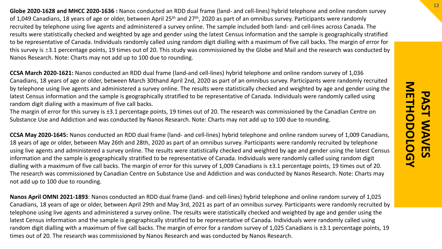**Globe 2020-1628 and MHCC 2020-1636 :** Nanos conducted an RDD dual frame (land- and cell-lines) hybrid telephone and online random survey of 1,049 Canadians, 18 years of age or older, between April 25<sup>th</sup> and 27<sup>th</sup>, 2020 as part of an omnibus survey. Participants were randomly recruited by telephone using live agents and administered a survey online. The sample included both land- and cell-lines across Canada. The results were statistically checked and weighted by age and gender using the latest Census information and the sample is geographically stratified to be representative of Canada. Individuals randomly called using random digit dialling with a maximum of five call backs. The margin of error for this survey is ±3.1 percentage points, 19 times out of 20. This study was commissioned by the Globe and Mail and the research was conducted by Nanos Research. Note: Charts may not add up to 100 due to rounding.

**CCSA March 2020-1621:** Nanos conducted an RDD dual frame (land-and cell-lines) hybrid telephone and online random survey of 1,036 Canadians, 18 years of age or older, between March 30thand April 2nd, 2020 as part of an omnibus survey. Participants were randomly recruited by telephone using live agents and administered a survey online. The results were statistically checked and weighted by age and gender using the latest Census information and the sample is geographically stratified to be representative of Canada. Individuals were randomly called using random digit dialing with a maximum of five call backs.

The margin of error for this survey is ±3.1 percentage points, 19 times out of 20. The research was commissioned by the Canadian Centre on Substance Use and Addiction and was conducted by Nanos Research. Note: Charts may not add up to 100 due to rounding.

**CCSA May 2020-1645:** Nanos conducted an RDD dual frame (land- and cell-lines) hybrid telephone and online random survey of 1,009 Canadians, 18 years of age or older, between May 26th and 28th, 2020 as part of an omnibus survey. Participants were randomly recruited by telephone using live agents and administered a survey online. The results were statistically checked and weighted by age and gender using the latest Census information and the sample is geographically stratified to be representative of Canada. Individuals were randomly called using random digit dialling with a maximum of five call backs. The margin of error for this survey of 1,009 Canadians is ±3.1 percentage points, 19 times out of 20. The research was commissioned by Canadian Centre on Substance Use and Addiction and was conducted by Nanos Research. Note: Charts may not add up to 100 due to rounding.

**Nanos April OMNI 2021-1893**: Nanos conducted an RDD dual frame (land- and cell-lines) hybrid telephone and online random survey of 1,025 Canadians, 18 years of age or older, between April 29th and May 3rd, 2021 as part of an omnibus survey. Participants were randomly recruited by telephone using live agents and administered a survey online. The results were statistically checked and weighted by age and gender using the latest Census information and the sample is geographically stratified to be representative of Canada. Individuals were randomly called using random digit dialling with a maximum of five call backs. The margin of error for a random survey of 1,025 Canadians is ±3.1 percentage points, 19 times out of 20. The research was commissioned by Nanos Research and was conducted by Nanos Research.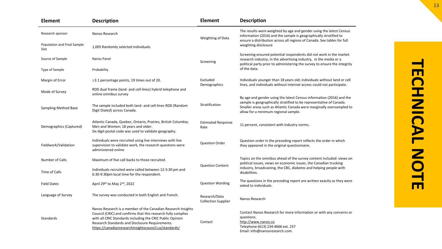| <b>Element</b>                      | <b>Description</b>                                                                                                                                                                                                                                                                                     | <b>Element</b>                              | <b>Description</b>                                                                                                                                                                                                                                          |  |  |  |  |  |  |
|-------------------------------------|--------------------------------------------------------------------------------------------------------------------------------------------------------------------------------------------------------------------------------------------------------------------------------------------------------|---------------------------------------------|-------------------------------------------------------------------------------------------------------------------------------------------------------------------------------------------------------------------------------------------------------------|--|--|--|--|--|--|
| Research sponsor                    | Nanos Research                                                                                                                                                                                                                                                                                         | <b>Weighting of Data</b>                    | The results were weighted by age and gender using the latest Census<br>information (2016) and the sample is geographically stratified to<br>ensure a distribution across all regions of Canada. See tables for full                                         |  |  |  |  |  |  |
| Population and Final Sample<br>Size | 1,005 Randomly selected individuals.                                                                                                                                                                                                                                                                   |                                             | weighting disclosure                                                                                                                                                                                                                                        |  |  |  |  |  |  |
| Source of Sample                    | Nanos Panel                                                                                                                                                                                                                                                                                            | Screening                                   | Screening ensured potential respondents did not work in the market<br>research industry, in the advertising industry, in the media or a<br>political party prior to administering the survey to ensure the integrity                                        |  |  |  |  |  |  |
| Type of Sample                      | Probability                                                                                                                                                                                                                                                                                            |                                             | of the data.                                                                                                                                                                                                                                                |  |  |  |  |  |  |
| Margin of Error                     | $\pm$ 3.1 percentage points, 19 times out of 20.                                                                                                                                                                                                                                                       | Excluded<br>Demographics                    | Individuals younger than 18 years old; individuals without land or cell<br>lines, and individuals without internet access could not participate.                                                                                                            |  |  |  |  |  |  |
| Mode of Survey                      | RDD dual frame (land- and cell-lines) hybrid telephone and<br>online omnibus survey                                                                                                                                                                                                                    |                                             |                                                                                                                                                                                                                                                             |  |  |  |  |  |  |
| <b>Sampling Method Base</b>         | The sample included both land- and cell-lines RDD (Random<br>Digit Dialed) across Canada.                                                                                                                                                                                                              | Stratification                              | By age and gender using the latest Census information (2016) and the<br>sample is geographically stratified to be representative of Canada.<br>Smaller areas such as Atlantic Canada were marginally oversampled to<br>allow for a minimum regional sample. |  |  |  |  |  |  |
| Demographics (Captured)             | Atlantic Canada, Quebec, Ontario, Prairies, British Columbia;<br>Men and Women; 18 years and older.<br>Six digit postal code was used to validate geography.                                                                                                                                           | <b>Estimated Response</b><br>Rate           | 11 percent, consistent with industry norms.                                                                                                                                                                                                                 |  |  |  |  |  |  |
| Fieldwork/Validation                | Individuals were recruited using live interviews with live<br>supervision to validate work, the research questions were<br>administered online                                                                                                                                                         | <b>Question Order</b>                       | Question order in the preceding report reflects the order in which<br>they appeared in the original questionnaire.                                                                                                                                          |  |  |  |  |  |  |
| Number of Calls                     | Maximum of five call backs to those recruited.                                                                                                                                                                                                                                                         |                                             | Topics on the omnibus ahead of the survey content included: views on<br>political issues, views on economic issues, the Canadian trucking                                                                                                                   |  |  |  |  |  |  |
| Time of Calls                       | Individuals recruited were called between 12-5:30 pm and<br>6:30-9:30pm local time for the respondent.                                                                                                                                                                                                 | <b>Question Content</b>                     | industry, broadcasting, the CBC, diabetes and helping people with<br>disabilities.                                                                                                                                                                          |  |  |  |  |  |  |
| <b>Field Dates</b>                  | April 29th to May 2nd, 2022                                                                                                                                                                                                                                                                            | <b>Question Wording</b>                     | The questions in the preceding report are written exactly as they were<br>asked to individuals.                                                                                                                                                             |  |  |  |  |  |  |
| Language of Survey                  | The survey was conducted in both English and French.                                                                                                                                                                                                                                                   | Research/Data<br><b>Collection Supplier</b> | Nanos Research                                                                                                                                                                                                                                              |  |  |  |  |  |  |
| Standards                           | Nanos Research is a member of the Canadian Research Insights<br>Council (CRIC) and confirms that this research fully complies<br>with all CRIC Standards including the CRIC Public Opinion<br>Research Standards and Disclosure Requirements.<br>https://canadianresearchinsightscouncil.ca/standards/ | Contact                                     | Contact Nanos Research for more information or with any concerns or<br>questions.<br>http://www.nanos.co<br>Telephone: (613) 234-4666 ext. 237<br>Email: info@nanosresearch.com.                                                                            |  |  |  |  |  |  |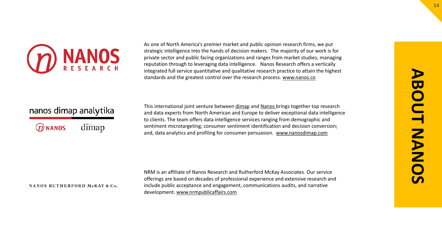

As one of North America's premier market and public opinion research firms, we put strategic intelligence into the hands of decision makers. The majority of our work is for private sector and public facing organizations and ranges from market studies, managing reputation through to leveraging data intelligence. Nanos Research offers a vertically integrated full service quantitative and qualitative research practice to attain the highest standards and the greatest control over the research process. [www.nanos.co](http://www.nanos.co/)

# nanos dimap analytika

dimap  $@$  NANOS

This international joint venture between [dimap](http://dimap.de/en/HOMEen) and [Nanos](http://nanos.co/) brings together top research and data experts from North American and Europe to deliver exceptional data intelligence to clients. The team offers data intelligence services ranging from demographic and sentiment microtargeting; consumer sentiment identification and decision conversion; and, data analytics and profiling for consumer persuasion. [www.nanosdimap.com](http://www.nanosdimap.com/)

### NANOS RUTHERFORD McKAY & Co.

NRM is an affiliate of Nanos Research and Rutherford McKay Associates. Our service offerings are based on decades of professional experience and extensive research and include public acceptance and engagement, communications audits, and narrative development. [www.nrmpublicaffairs.com](http://nrmpublicaffairs.com/index.html)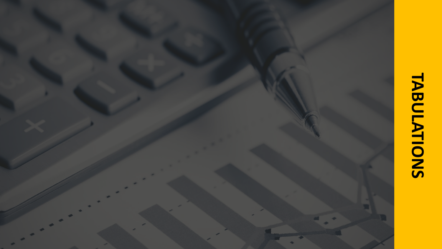# **TABULATIONSTABULATIONS** o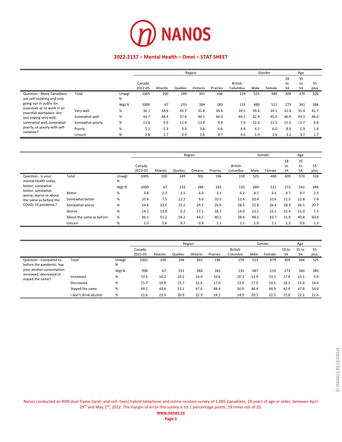

### **2022-2137 – Mental Health – Omni – STAT SHEET**

|                                                                 |                 |            |         |          |        | Region  |          |                |      | Gender |      | Age  |      |
|-----------------------------------------------------------------|-----------------|------------|---------|----------|--------|---------|----------|----------------|------|--------|------|------|------|
|                                                                 |                 |            |         |          |        |         |          |                |      |        | 18   | 35   |      |
|                                                                 |                 |            | Canada  |          |        |         |          | <b>British</b> |      |        | to   | to   | 55   |
|                                                                 |                 |            | 2022-05 | Atlantic | Quebec | Ontario | Prairies | Columbia       | Male | Female | 34   | 54   | plus |
| <b>Question - Many Canadians</b><br>are self-isolating and only | Total           | Unwgt<br>N | 1005    | 100      | 249    | 301     | 196      | 159            | 525  | 480    | 309  | 370  | 326  |
| going out in public for                                         |                 | Wgt N      | 1000    | 67       | 233    | 384     | 183      | 133            | 489  | 511    | 273  | 341  | 386  |
| essentials or to work in an<br>essential workplace. Are         | Very well       | %          | 36.7    | 34.6     | 45.7   | 31.8    | 34.4     | 39.5           | 39.4 | 34.1   | 31.4 | 35.4 | 41.7 |
| you coping very well,                                           | Somewhat well   | %          | 43.7    | 48.4     | 37.6   | 46.1    | 44.3     | 44.1           | 42.4 | 45.0   | 40.9 | 43.3 | 46.0 |
| somewhat well, somewhat                                         | Somewhat poorly | %          | 11.6    | 9.9      | 12.4   | 13.9    | 9.9      | 7.0            | 12.0 | 11.3   | 15.5 | 11.7 | 8.8  |
| poorly, or poorly with self-                                    | Poorly          | %          | 5.1     | 5.3      | 3.3    | 5.6     | 6.6      | 4.8            | 4.2  | 6.0    | 8.9  | 5.9  | 1.8  |
| isolation?                                                      | Unsure          | %          | 2.8     | 1.7      | 0.9    | 2.6     | 4.7      | 4.6            | 2.0  | 3.6    | 3.2  | 3.7  | 1.7  |

|                                           |                          |            |         |          |        | Region  |          |                |      | Gender |          | Age      |      |
|-------------------------------------------|--------------------------|------------|---------|----------|--------|---------|----------|----------------|------|--------|----------|----------|------|
|                                           |                          |            | Canada  |          |        |         |          | <b>British</b> |      |        | 18<br>to | 35<br>to | 55   |
|                                           |                          |            | 2022-05 | Atlantic | Quebec | Ontario | Prairies | Columbia       | Male | Female | 34       | 54       | plus |
| Question - Is your<br>mental health today | Total                    | Unwgt<br>Ν | 1005    | 100      | 249    | 301     | 196      | 159            | 525  | 480    | 309      | 370      | 326  |
| better, somewhat                          |                          | Wgt N      | 1000    | 67       | 233    | 384     | 183      | 133            | 489  | 511    | 273      | 341      | 386  |
| better, somewhat<br>worse, worse or about | Better                   | $\%$       | 3.8     | 2.3      | 3.5    | 4.0     | 3.1      | 5.2            | 4.2  | 3.4    | 4.7      | 4.7      | 2.3  |
| the same as before the                    | Somewhat better          | %          | 10.4    | 7.5      | 12.2   | 9.0     | 10.5     | 12.4           | 10.4 | 10.4   | 11.5     | 12.8     | 7.4  |
| COVID-19 pandemic?                        | Somewhat worse           | %          | 24.6    | 23.5     | 21.2   | 24.5    | 26.9     | 28.5           | 22.8 | 26.4   | 28.3     | 26.1     | 20.7 |
|                                           | Worse                    | %          | 14.1    | 13.9     | 6.2    | 17.1    | 18.2     | 14.0           | 13.1 | 15.1   | 22.4     | 15.0     | 7.5  |
|                                           | About the same as before | %          | 46.1    | 51.2     | 56.2   | 44.5    | 40.1     | 38.4           | 48.5 | 43.7   | 31.9     | 40.8     | 60.8 |
|                                           | Unsure                   | %          | 1.0     | 1.6      | 0.7    | 0.9     | 1.1      | 1.5            | 1.0  | 1.1    | 1.3      | 0.6      | 1.3  |

|                                                    |                       |            |                   | Region   |        |         |          |                            |      |        |                        | Age         |            |
|----------------------------------------------------|-----------------------|------------|-------------------|----------|--------|---------|----------|----------------------------|------|--------|------------------------|-------------|------------|
|                                                    |                       |            | Canada<br>2022-05 | Atlantic | Quebec | Ontario | Prairies | <b>British</b><br>Columbia | Male | Female | 18 <sub>to</sub><br>34 | 35 to<br>54 | 55<br>plus |
| Question - Compared to<br>before the pandemic, has | Total                 | Unwgt<br>Ν | 1002              | 100      | 246    | 301     | 196      | 159                        | 523  | 479    | 309                    | 368         | 325        |
| your alcohol consumption                           |                       | Wgt N      | 998               | 67       | 231    | 384     | 183      | 133                        | 487  | 510    | 273                    | 340         | 385        |
| increased, decreased or<br>stayed the same?        | Increased             | %          | 13.5              | 16.2     | 10.2   | 14.0    | 10.6     | 20.3                       | 13.9 | 13.1   | 17.8                   | 15.1        | 9.0        |
|                                                    | Decreased             | %          | 15.7              | 16.8     | 15.7   | 15.6    | 17.0     | 13.9                       | 17.0 | 14.5   | 18.3                   | 15.0        | 14.6       |
|                                                    | Stayed the same       | %          | 49.2              | 43.6     | 53.1   | 47.6    | 48.4     | 50.9                       | 48.4 | 49.9   | 42.9                   | 47.8        | 54.9       |
|                                                    | I don't drink alcohol | %          | 21.6              | 23.3     | 20.9   | 22.9    | 24.1     | 14.9                       | 20.7 | 22.5   | 21.0                   | 22.2        | 21.6       |

Nanos conducted an RDD dual frame (land- and cell- lines) hybrid telephone and online random survey of 1,005 Canadians, 18 years of age or older, between April  $29<sup>th</sup>$  and May  $2<sup>nd</sup>$ , 2022. The margin of error this survey is  $\pm 3.1$  percentage points, 19 times out of 20.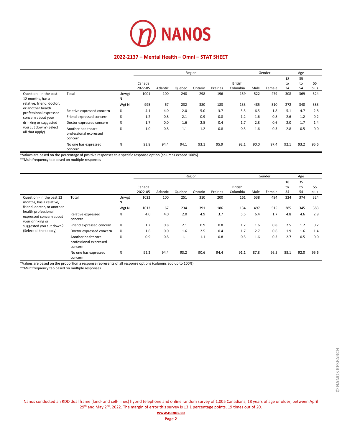

### **2022-2137 – Mental Health – Omni – STAT SHEET**

|                                             |                                                         |            |         |          |        | Region  |          |                |      | Gender |      | Age  |      |
|---------------------------------------------|---------------------------------------------------------|------------|---------|----------|--------|---------|----------|----------------|------|--------|------|------|------|
|                                             |                                                         |            |         |          |        |         |          |                |      |        | 18   | 35   |      |
|                                             |                                                         |            | Canada  |          |        |         |          | <b>British</b> |      |        | to   | to   | 55   |
|                                             |                                                         |            | 2022-05 | Atlantic | Quebec | Ontario | Prairies | Columbia       | Male | Female | 34   | 54   | plus |
| Question - In the past<br>12 months, has a  | Total                                                   | Unwgt<br>N | 1001    | 100      | 248    | 298     | 196      | 159            | 522  | 479    | 308  | 369  | 324  |
| relative, friend, doctor,                   |                                                         | Wgt N      | 995     | 67       | 232    | 380     | 183      | 133            | 485  | 510    | 272  | 340  | 383  |
| or another health<br>professional expressed | Relative expressed concern                              | %          | 4.1     | 4.0      | 2.0    | 5.0     | 3.7      | 5.5            | 6.5  | 1.8    | 5.1  | 4.7  | 2.8  |
| concern about your                          | Friend expressed concern                                | %          | 1.2     | 0.8      | 2.1    | 0.9     | 0.8      | 1.2            | 1.6  | 0.8    | 2.6  | 1.2  | 0.2  |
| drinking or suggested                       | Doctor expressed concern                                | %          | 1.7     | 0.0      | 1.6    | 2.5     | 0.4      | 1.7            | 2.8  | 0.6    | 2.0  | 1.7  | 1.4  |
| you cut down? (Select<br>all that apply)    | Another healthcare<br>professional expressed<br>concern | %          | 1.0     | 0.8      | 1.1    | 1.2     | 0.8      | 0.5            | 1.6  | 0.3    | 2.8  | 0.5  | 0.0  |
|                                             | No one has expressed<br>concern                         | %          | 93.8    | 94.4     | 94.1   | 93.1    | 95.9     | 92.1           | 90.0 | 97.4   | 92.1 | 93.2 | 95.6 |

\*Values are based on the percentage of positive responses to a specific response option (columns exceed 100%)

\*\*Multifrequency tab based on multiple responses

|                                                      |                                                         |            |         |          |        | Region  |          |                |      | Gender |      | Age  |      |
|------------------------------------------------------|---------------------------------------------------------|------------|---------|----------|--------|---------|----------|----------------|------|--------|------|------|------|
|                                                      |                                                         |            |         |          |        |         |          |                |      |        | 18   | 35   |      |
|                                                      |                                                         |            | Canada  |          |        |         |          | <b>British</b> |      |        | to   | to   | 55   |
|                                                      |                                                         |            | 2022-05 | Atlantic | Quebec | Ontario | Prairies | Columbia       | Male | Female | 34   | 54   | plus |
| Question - In the past 12<br>months, has a relative, | Total                                                   | Unwgt<br>N | 1022    | 100      | 251    | 310     | 200      | 161            | 538  | 484    | 324  | 374  | 324  |
| friend, doctor, or another<br>health professional    |                                                         | Wgt N      | 1012    | 67       | 234    | 391     | 186      | 134            | 497  | 515    | 285  | 345  | 383  |
| expressed concern about<br>your drinking or          | Relative expressed<br>concern                           | %          | 4.0     | 4.0      | 2.0    | 4.9     | 3.7      | 5.5            | 6.4  | 1.7    | 4.8  | 4.6  | 2.8  |
| suggested you cut down?                              | Friend expressed concern                                | %          | 1.2     | 0.8      | 2.1    | 0.9     | 0.8      | 1.2            | 1.6  | 0.8    | 2.5  | 1.2  | 0.2  |
| (Select all that apply)                              | Doctor expressed concern                                | %          | 1.6     | 0.0      | 1.6    | 2.5     | 0.4      | 1.7            | 2.7  | 0.6    | 1.9  | 1.6  | 1.4  |
|                                                      | Another healthcare<br>professional expressed<br>concern | %          | 0.9     | 0.8      | 1.1    | 1.1     | 0.8      | 0.5            | 1.6  | 0.3    | 2.7  | 0.5  | 0.0  |
|                                                      | No one has expressed<br>concern                         | %          | 92.2    | 94.4     | 93.2   | 90.6    | 94.4     | 91.1           | 87.8 | 96.5   | 88.1 | 92.0 | 95.6 |

\*Values are based on the proportion a response represents of all response options (columns add up to 100%).

\*\*Multifrequency tab based on multiple responses

Nanos conducted an RDD dual frame (land- and cell- lines) hybrid telephone and online random survey of 1,005 Canadians, 18 years of age or older, between April  $29<sup>th</sup>$  and May 2<sup>nd</sup>, 2022. The margin of error this survey is  $\pm 3.1$  percentage points, 19 times out of 20.